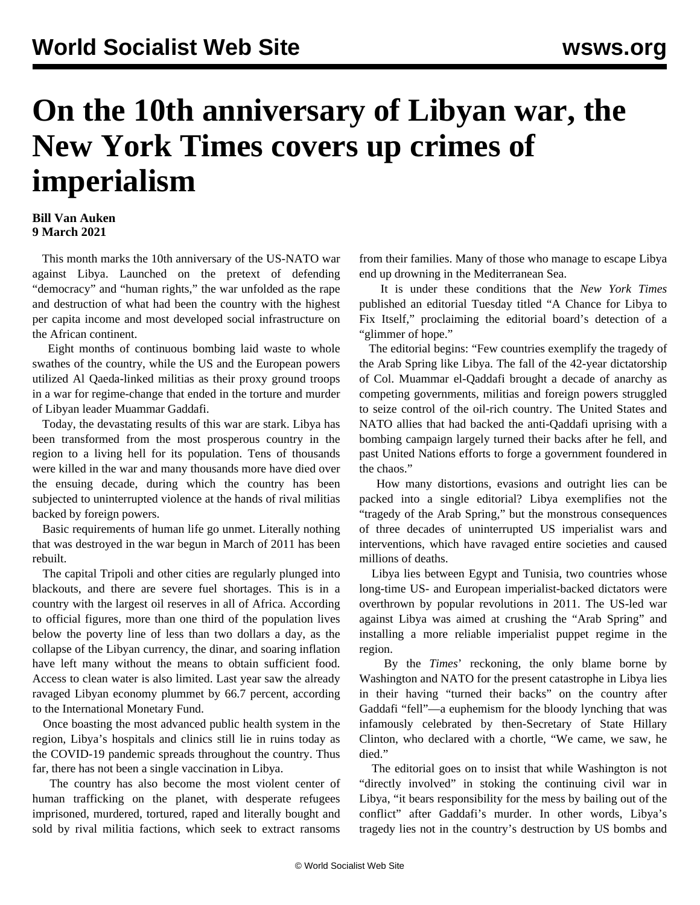## **On the 10th anniversary of Libyan war, the New York Times covers up crimes of imperialism**

## **Bill Van Auken 9 March 2021**

 This month marks the 10th anniversary of the US-NATO war against Libya. Launched on the pretext of defending "democracy" and "human rights," the war unfolded as the rape and destruction of what had been the country with the highest per capita income and most developed social infrastructure on the African continent.

 Eight months of continuous bombing laid waste to whole swathes of the country, while the US and the European powers utilized Al Qaeda-linked militias as their proxy ground troops in a war for regime-change that ended in the torture and murder of Libyan leader Muammar Gaddafi.

 Today, the devastating results of this war are stark. Libya has been transformed from the most prosperous country in the region to a living hell for its population. Tens of thousands were killed in the war and many thousands more have died over the ensuing decade, during which the country has been subjected to uninterrupted violence at the hands of rival militias backed by foreign powers.

 Basic requirements of human life go unmet. Literally nothing that was destroyed in the war begun in March of 2011 has been rebuilt.

 The capital Tripoli and other cities are regularly plunged into blackouts, and there are severe fuel shortages. This is in a country with the largest oil reserves in all of Africa. According to official figures, more than one third of the population lives below the poverty line of less than two dollars a day, as the collapse of the Libyan currency, the dinar, and soaring inflation have left many without the means to obtain sufficient food. Access to clean water is also limited. Last year saw the already ravaged Libyan economy plummet by 66.7 percent, according to the International Monetary Fund.

 Once boasting the most advanced public health system in the region, Libya's hospitals and clinics still lie in ruins today as the COVID-19 pandemic spreads throughout the country. Thus far, there has not been a single vaccination in Libya.

 The country has also become the most violent center of human trafficking on the planet, with desperate refugees imprisoned, murdered, tortured, raped and literally bought and sold by rival militia factions, which seek to extract ransoms

from their families. Many of those who manage to escape Libya end up drowning in the Mediterranean Sea.

 It is under these conditions that the *New York Times* published an editorial Tuesday titled "A Chance for Libya to Fix Itself," proclaiming the editorial board's detection of a "glimmer of hope."

 The editorial begins: "Few countries exemplify the tragedy of the Arab Spring like Libya. The fall of the 42-year dictatorship of Col. Muammar el-Qaddafi brought a decade of anarchy as competing governments, militias and foreign powers struggled to seize control of the oil-rich country. The United States and NATO allies that had backed the anti-Qaddafi uprising with a bombing campaign largely turned their backs after he fell, and past United Nations efforts to forge a government foundered in the chaos."

 How many distortions, evasions and outright lies can be packed into a single editorial? Libya exemplifies not the "tragedy of the Arab Spring," but the monstrous consequences of three decades of uninterrupted US imperialist wars and interventions, which have ravaged entire societies and caused millions of deaths.

 Libya lies between Egypt and Tunisia, two countries whose long-time US- and European imperialist-backed dictators were overthrown by popular revolutions in 2011. The US-led war against Libya was aimed at crushing the "Arab Spring" and installing a more reliable imperialist puppet regime in the region.

 By the *Times*' reckoning, the only blame borne by Washington and NATO for the present catastrophe in Libya lies in their having "turned their backs" on the country after Gaddafi "fell"—a euphemism for the bloody lynching that was infamously celebrated by then-Secretary of State Hillary Clinton, who declared with a chortle, "We came, we saw, he died."

 The editorial goes on to insist that while Washington is not "directly involved" in stoking the continuing civil war in Libya, "it bears responsibility for the mess by bailing out of the conflict" after Gaddafi's murder. In other words, Libya's tragedy lies not in the country's destruction by US bombs and